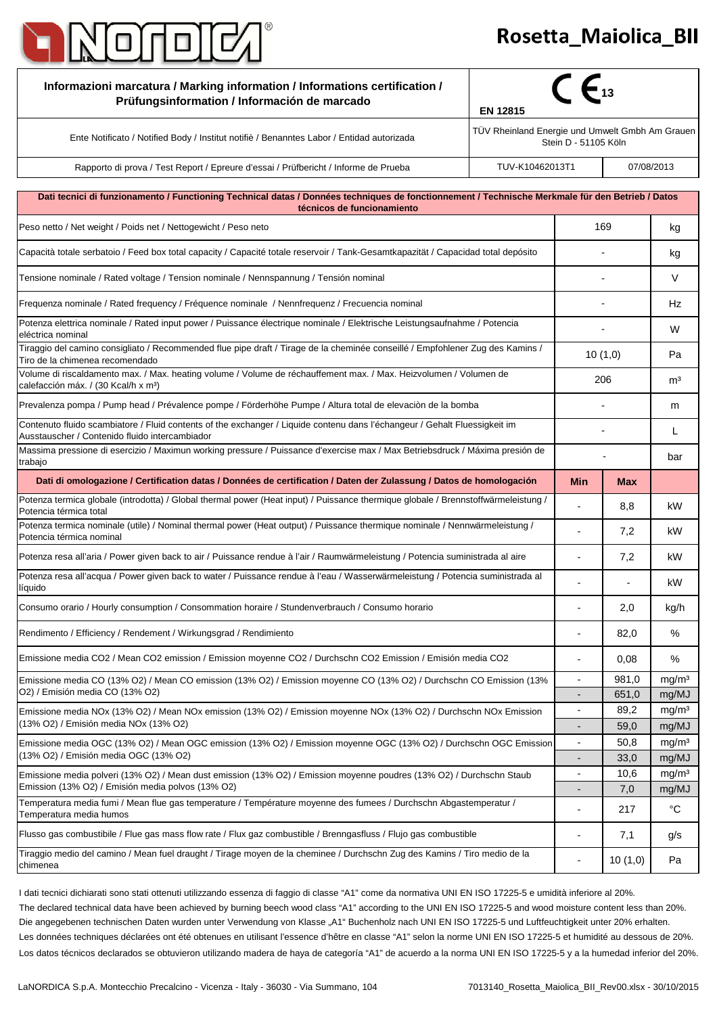

## -

| Informazioni marcatura / Marking information / Informations certification /<br>Prüfungsinformation / Información de marcado                                                                    | $\epsilon_{13}$<br>EN 12815                                             |                          |               |                            |
|------------------------------------------------------------------------------------------------------------------------------------------------------------------------------------------------|-------------------------------------------------------------------------|--------------------------|---------------|----------------------------|
| Ente Notificato / Notified Body / Institut notifiè / Benanntes Labor / Entidad autorizada                                                                                                      | TÜV Rheinland Energie und Umwelt Gmbh Am Grauen<br>Stein D - 51105 Köln |                          |               |                            |
| Rapporto di prova / Test Report / Epreure d'essai / Prüfbericht / Informe de Prueba                                                                                                            | TUV-K10462013T1                                                         |                          |               | 07/08/2013                 |
| Dati tecnici di funzionamento / Functioning Technical datas / Données techniques de fonctionnement / Technische Merkmale für den Betrieb / Datos                                               |                                                                         |                          |               |                            |
| técnicos de funcionamiento<br>Peso netto / Net weight / Poids net / Nettogewicht / Peso neto                                                                                                   |                                                                         | 169                      |               | kg                         |
|                                                                                                                                                                                                |                                                                         |                          |               |                            |
| Capacità totale serbatoio / Feed box total capacity / Capacité totale reservoir / Tank-Gesamtkapazität / Capacidad total depósito                                                              |                                                                         |                          |               | kg                         |
| Tensione nominale / Rated voltage / Tension nominale / Nennspannung / Tensión nominal                                                                                                          |                                                                         |                          |               | $\vee$                     |
| Frequenza nominale / Rated frequency / Fréquence nominale / Nennfrequenz / Frecuencia nominal                                                                                                  |                                                                         |                          |               | Hz                         |
| Potenza elettrica nominale / Rated input power / Puissance électrique nominale / Elektrische Leistungsaufnahme / Potencia<br>eléctrica nominal                                                 |                                                                         |                          |               | W                          |
| Tiraggio del camino consigliato / Recommended flue pipe draft / Tirage de la cheminée conseillé / Empfohlener Zug des Kamins /<br>Tiro de la chimenea recomendado                              |                                                                         | 10(1,0)                  |               | Pa                         |
| Volume di riscaldamento max. / Max. heating volume / Volume de réchauffement max. / Max. Heizvolumen / Volumen de<br>calefacción máx. / (30 Kcal/h x m <sup>3</sup> )                          |                                                                         | 206                      |               | m <sup>3</sup>             |
| Prevalenza pompa / Pump head / Prévalence pompe / Förderhöhe Pumpe / Altura total de elevación de la bomba                                                                                     |                                                                         |                          |               | m                          |
| Contenuto fluido scambiatore / Fluid contents of the exchanger / Liquide contenu dans l'échangeur / Gehalt Fluessigkeit im<br>Ausstauscher / Contenido fluido intercambiador                   |                                                                         |                          |               | L                          |
| Massima pressione di esercizio / Maximun working pressure / Puissance d'exercise max / Max Betriebsdruck / Máxima presión de<br>trabajo                                                        |                                                                         |                          |               | bar                        |
| Dati di omologazione / Certification datas / Données de certification / Daten der Zulassung / Datos de homologación                                                                            |                                                                         | Min                      | <b>Max</b>    |                            |
| Potenza termica globale (introdotta) / Global thermal power (Heat input) / Puissance thermique globale / Brennstoffwärmeleistung /<br>Potencia térmica total                                   |                                                                         |                          | 8,8           | kW                         |
| Potenza termica nominale (utile) / Nominal thermal power (Heat output) / Puissance thermique nominale / Nennwärmeleistung /<br>Potencia térmica nominal                                        |                                                                         |                          | 7,2           | kW                         |
| Potenza resa all'aria / Power given back to air / Puissance rendue à l'air / Raumwärmeleistung / Potencia suministrada al aire                                                                 |                                                                         |                          | 7,2           | kW                         |
| Potenza resa all'acqua / Power given back to water / Puissance rendue à l'eau / Wasserwärmeleistung / Potencia suministrada al<br>líquido                                                      |                                                                         |                          |               | kW                         |
| Consumo orario / Hourly consumption / Consommation horaire / Stundenverbrauch / Consumo horario                                                                                                |                                                                         |                          | 2,0           | kg/h                       |
| Rendimento / Efficiency / Rendement / Wirkungsgrad / Rendimiento                                                                                                                               |                                                                         | $\overline{a}$           | 82,0          | ℅                          |
| Emissione media CO2 / Mean CO2 emission / Emission moyenne CO2 / Durchschn CO2 Emission / Emisión media CO2                                                                                    |                                                                         | $\overline{a}$           | 0,08          | ℅                          |
| Emissione media CO (13% O2) / Mean CO emission (13% O2) / Emission moyenne CO (13% O2) / Durchschn CO Emission (13%                                                                            |                                                                         | $\overline{\phantom{a}}$ | 981,0         | mg/m <sup>3</sup>          |
| O2) / Emisión media CO (13% O2)<br>Emissione media NOx (13% O2) / Mean NOx emission (13% O2) / Emission moyenne NOx (13% O2) / Durchschn NOx Emission<br>(13% O2) / Emisión media NOx (13% O2) |                                                                         |                          | 651,0<br>89,2 | mg/MJ<br>mg/m <sup>3</sup> |
|                                                                                                                                                                                                |                                                                         |                          | 59,0          | mg/MJ                      |
| Emissione media OGC (13% O2) / Mean OGC emission (13% O2) / Emission moyenne OGC (13% O2) / Durchschn OGC Emission<br>(13% O2) / Emisión media OGC (13% O2)                                    |                                                                         |                          | 50,8          | mg/m <sup>3</sup>          |
|                                                                                                                                                                                                |                                                                         |                          | 33,0          | mg/MJ                      |
| Emissione media polveri (13% O2) / Mean dust emission (13% O2) / Emission moyenne poudres (13% O2) / Durchschn Staub<br>Emission (13% O2) / Emisión media polvos (13% O2)                      |                                                                         | ÷,                       | 10,6          | mg/m <sup>3</sup>          |
| Temperatura media fumi / Mean flue gas temperature / Température moyenne des fumees / Durchschn Abgastemperatur /<br>Temperatura media humos                                                   |                                                                         |                          | 7,0<br>217    | mg/MJ<br>$^{\circ}C$       |
| Flusso gas combustibile / Flue gas mass flow rate / Flux gaz combustible / Brenngasfluss / Flujo gas combustible                                                                               |                                                                         | ÷                        | 7,1           | g/s                        |
| Tiraggio medio del camino / Mean fuel draught / Tirage moyen de la cheminee / Durchschn Zug des Kamins / Tiro medio de la<br>chimenea                                                          |                                                                         | ÷                        | 10(1,0)       | Pa                         |

The declared technical data have been achieved by burning beech wood class "A1" according to the UNI EN ISO 17225-5 and wood moisture content less than 20%. Los datos técnicos declarados se obtuvieron utilizando madera de haya de categoría "A1" de acuerdo a la norma UNI EN ISO 17225-5 y a la humedad inferior del 20%. Les données techniques déclarées ont été obtenues en utilisant l'essence d'hêtre en classe "A1" selon la norme UNI EN ISO 17225-5 et humidité au dessous de 20%. I dati tecnici dichiarati sono stati ottenuti utilizzando essenza di faggio di classe "A1" come da normativa UNI EN ISO 17225-5 e umidità inferiore al 20%. Die angegebenen technischen Daten wurden unter Verwendung von Klasse "A1" Buchenholz nach UNI EN ISO 17225-5 und Luftfeuchtigkeit unter 20% erhalten.